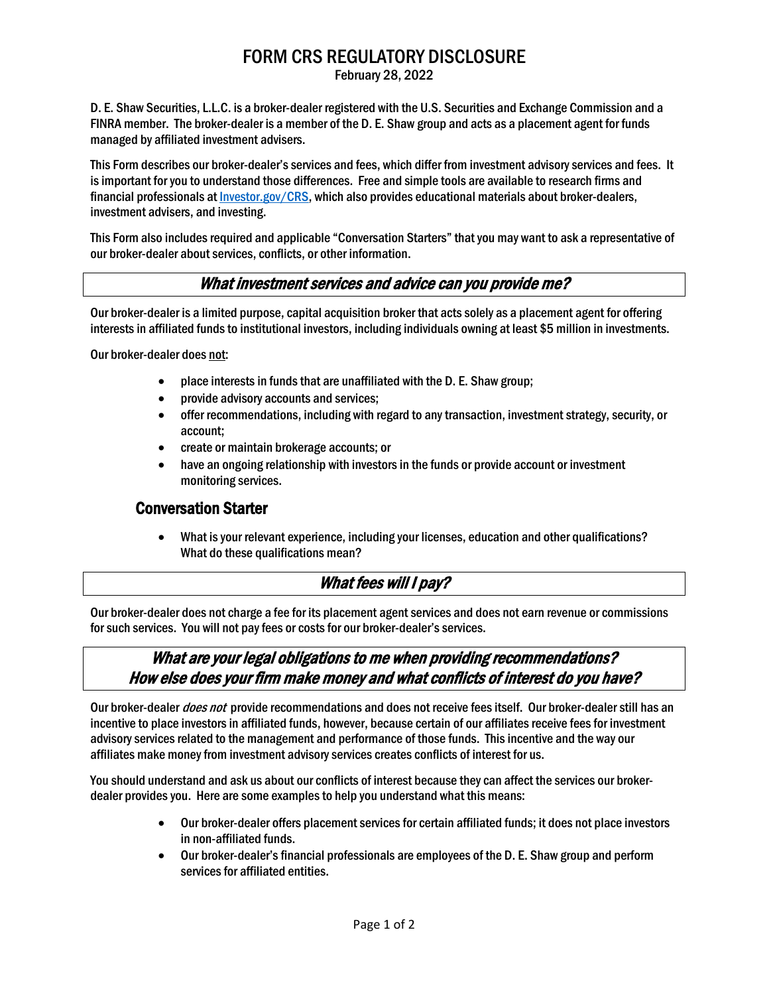# FORM CRS REGULATORY DISCLOSURE

February 28, 2022

D. E. Shaw Securities, L.L.C. is a broker-dealer registered with the U.S. Securities and Exchange Commission and a FINRA member. The broker-dealer is a member of the D. E. Shaw group and acts as a placement agent for funds managed by affiliated investment advisers.

This Form describes our broker-dealer's services and fees, which differ from investment advisory services and fees. It is important for you to understand those differences. Free and simple tools are available to research firms and financial professionals at [Investor.gov/CRS,](https://www.investor.gov/CRS) which also provides educational materials about broker-dealers, investment advisers, and investing.

This Form also includes required and applicable "Conversation Starters" that you may want to ask a representative of our broker-dealer about services, conflicts, or other information.

## What investment services and advice can you provide me?

Our broker-dealer is a limited purpose, capital acquisition broker that acts solely as a placement agent for offering interests in affiliated funds to institutional investors, including individuals owning at least \$5 million in investments.

Our broker-dealer does not:

- place interests in funds that are unaffiliated with the D. E. Shaw group;
- provide advisory accounts and services;
- offer recommendations, including with regard to any transaction, investment strategy, security, or account;
- create or maintain brokerage accounts; or
- have an ongoing relationship with investors in the funds or provide account or investment monitoring services.

### Conversation Starter

• What is your relevant experience, including your licenses, education and other qualifications? What do these qualifications mean?

# What fees will I pay?

Our broker-dealer does not charge a fee for its placement agent services and does not earn revenue or commissions for such services. You will not pay fees or costs for our broker-dealer's services.

## What are your legal obligations to me when providing recommendations? How else does your firm make money and what conflicts of interest do you have?

Our broker-dealer *does not* provide recommendations and does not receive fees itself. Our broker-dealer still has an incentive to place investorsin affiliated funds, however, because certain of our affiliates receive fees for investment advisory services related to the management and performance of those funds. This incentive and the way our affiliates make money from investment advisory services creates conflicts of interest for us.

You should understand and ask us about our conflicts of interest because they can affect the services our brokerdealer provides you. Here are some examples to help you understand what this means:

- Our broker-dealer offers placement services for certain affiliated funds; it does not place investors in non-affiliated funds.
- Our broker-dealer's financial professionals are employees of the D. E. Shaw group and perform services for affiliated entities.